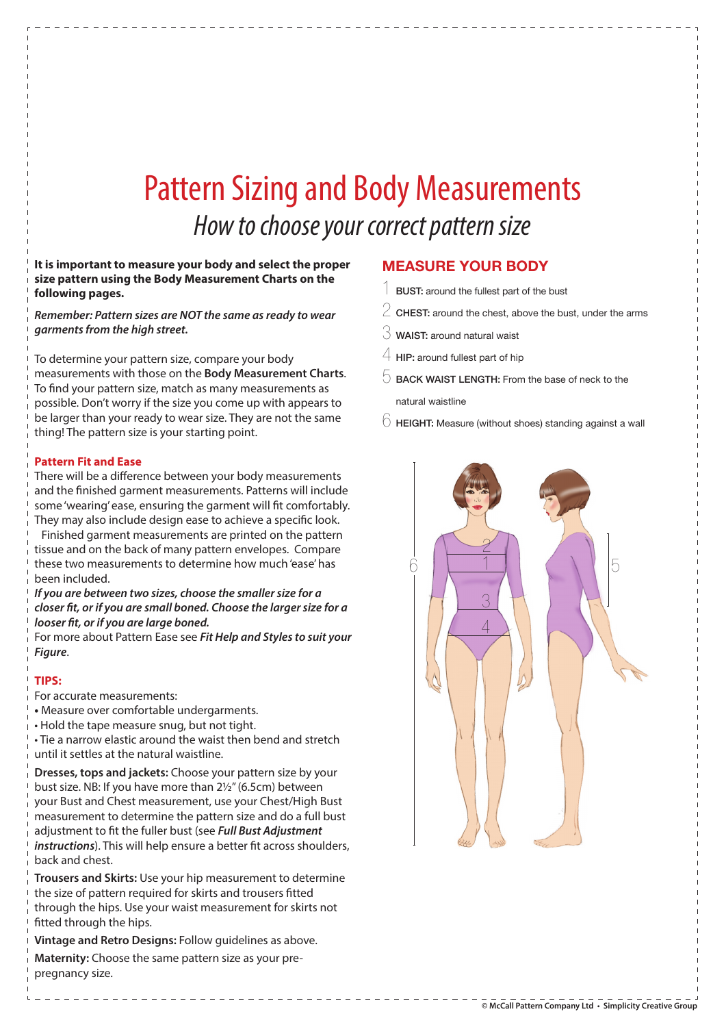# Pattern Sizing and Body Measurements How to choose your correct pattern size

### **It is important to measure your body and select the proper size pattern using the Body Measurement Charts on the following pages.**

**Remember: Pattern sizes are NOT the same as ready to wear garments from the high street.**

To determine your pattern size, compare your body measurements with those on the **Body Measurement Charts**. To find your pattern size, match as many measurements as possible. Don't worry if the size you come up with appears to be larger than your ready to wear size. They are not the same thing! The pattern size is your starting point.

## **Pattern Fit and Ease**

There will be a difference between your body measurements and the finished garment measurements. Patterns will include some 'wearing' ease, ensuring the garment will fit comfortably. They may also include design ease to achieve a specific look.

Finished garment measurements are printed on the pattern tissue and on the back of many pattern envelopes. Compare these two measurements to determine how much 'ease' has been included.

**If you are between two sizes, choose the smaller size for a**  closer fit, or if you are small boned. Choose the larger size for a **looser fit, or if you are large boned.** 

For more about Pattern Ease see **Fit Help and Styles to suit your Figure**.

# **TIPS:**

For accurate measurements:

- Measure over comfortable undergarments.
- Hold the tape measure snug, but not tight.

• Tie a narrow elastic around the waist then bend and stretch until it settles at the natural waistline.

**Dresses, tops and jackets:** Choose your pattern size by your bust size. NB: If you have more than 2½" (6.5cm) between your Bust and Chest measurement, use your Chest/High Bust measurement to determine the pattern size and do a full bust adjustment to fit the fuller bust (see **Full Bust Adjustment** instructions). This will help ensure a better fit across shoulders, back and chest.

**Trousers and Skirts:** Use your hip measurement to determine the size of pattern required for skirts and trousers fitted through the hips. Use your waist measurement for skirts not fitted through the hips.

\_ \_ \_ \_ \_ \_ \_ \_ \_ \_ \_ \_ \_ \_ \_ \_ \_

**Vintage and Retro Designs:** Follow guidelines as above.

**Maternity:** Choose the same pattern size as your prepregnancy size.

# **MEASURE YOUR BODY**

- BUST: around the fullest part of the bust
- $\stackrel{\textstyle >}{\textstyle >}$  CHEST: around the chest, above the bust, under the arms
- $\Im$  WAIST: around natural waist
- $4$  HIP: around fullest part of hip
- $\heartsuit$  BACK WAIST LENGTH: From the base of neck to the natural waistline
- $\overline{\circ}$  HEIGHT: Measure (without shoes) standing against a wall

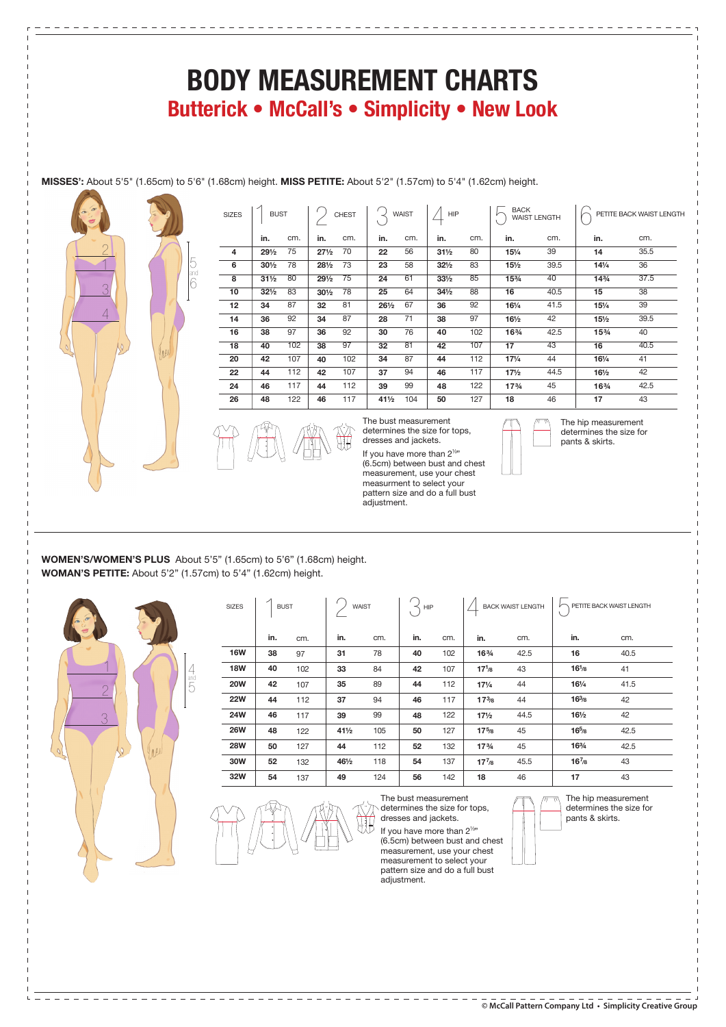# **BODY MEASUREMENT CHARTS Butterick • McCall's • Simplicity • New Look**

**MISSES':** About 5'5" (1.65cm) to 5'6" (1.68cm) height. **MISS PETITE:** About 5'2" (1.57cm) to 5'4" (1.62cm) height.

cm.  $\overline{80}$ 

**in.** 

cm.  $\overline{70}$  

SIZES  $\vert$  BUST  $\vert$   $\vert$  chest  $\vert$   $\vert$  waist  $\vert$   $\vert$  hip  $\vert$   $\vert$   $\vert$  back

 $\begin{array}{|c|c|c|c|c|}\n\hline\n\end{array}$  BUST  $\begin{array}{|c|c|c|c|}\n\hline\n\end{array}$  CHEST  $\begin{array}{|c|c|c|}\n\hline\n\end{array}$   $\begin{array}{|c|c|}\n\hline\n\end{array}$   $\begin{array}{|c|c|}\n\hline\n\end{array}$   $\begin{array}{|c|c|}\n\hline\n\end{array}$   $\begin{array}{|c|c|}\n\hline\n\end{array}$   $\begin{array}{|c|c|}\n\hline\n\end{array}$   $\begin{array}{$ 

**in.**  



**in.** 

> The bust measurement determines the size for tops, dresses and jackets. If you have more than 2½"

(6.5cm) between bust and chest measurement, use your chest measurment to select your pattern size and do a full bust adjustment.



cm. 39.5  $\overline{40}$ 40.5 41.5 42.5  $\overline{43}$   $44.5$  

**in.**   $141/4$  

cm. 35.5 37.5 39.5 40.5  $\overline{42}$  $12.5$ 

**WOMEN'S/WOMEN'S PLUS** About 5'5" (1.65cm) to 5'6" (1.68cm) height. **WOMAN'S PETITE:** About 5'2" (1.57cm) to 5'4" (1.62cm) height.

\_\_\_\_\_\_\_\_\_\_\_\_\_\_\_\_\_\_\_\_\_\_\_\_\_\_\_\_\_\_\_\_\_



1 6 5

and 

| <b>SIZES</b> | <b>BUST</b> |     | WAIST           |     | ≺<br><b>HIP</b> | <b>BACK WAIST LENGTH</b> |                                |      | $\begin{array}{c} \begin{array}{c} \end{array}$ PETITE BACK WAIST LENGTH |      |
|--------------|-------------|-----|-----------------|-----|-----------------|--------------------------|--------------------------------|------|--------------------------------------------------------------------------|------|
|              | in.         | cm. | in.             | cm. | in.             | cm.                      | in.                            | cm.  | in.                                                                      | cm.  |
| <b>16W</b>   | 38          | 97  | 31              | 78  | 40              | 102                      | 16%                            | 42.5 | 16                                                                       | 40.5 |
| <b>18W</b>   | 40          | 102 | 33              | 84  | 42              | 107                      | $17^{1}_{8}$                   | 43   | $16^{1/8}$                                                               | 41   |
| <b>20W</b>   | 42          | 107 | 35              | 89  | 44              | 112                      | $17\frac{1}{4}$                | 44   | $16\frac{1}{4}$                                                          | 41.5 |
| <b>22W</b>   | 44          | 112 | 37              | 94  | 46              | 117                      | $17^{3}/8$                     | 44   | $16^{3}/8$                                                               | 42   |
| 24W          | 46          | 117 | 39              | 99  | 48              | 122                      | $17\frac{1}{2}$                | 44.5 | $16\frac{1}{2}$                                                          | 42   |
| <b>26W</b>   | 48          | 122 | $41\frac{1}{2}$ | 105 | 50              | 127                      | $17^{5/8}$                     | 45   | $16^{5}_{/8}$                                                            | 42.5 |
| <b>28W</b>   | 50          | 127 | 44              | 112 | 52              | 132                      | 17 <sup>3</sup> / <sub>4</sub> | 45   | 163/4                                                                    | 42.5 |
| 30W          | 52          | 132 | 461/2           | 118 | 54              | 137                      | $17^{7}_{8}$                   | 45.5 | $16^{7}_{/8}$                                                            | 43   |
| 32W          | 54          | 137 | 49              | 124 | 56              | 142                      | 18                             | 46   | 17                                                                       | 43   |



The bust measurement determines the size for tops, dresses and jackets.

If you have more than  $2^{1/2}$ (6.5cm) between bust and chest measurement, use your chest measurement to select your pattern size and do a full bust adjustment.



The hip measurement determines the size for pants & skirts.